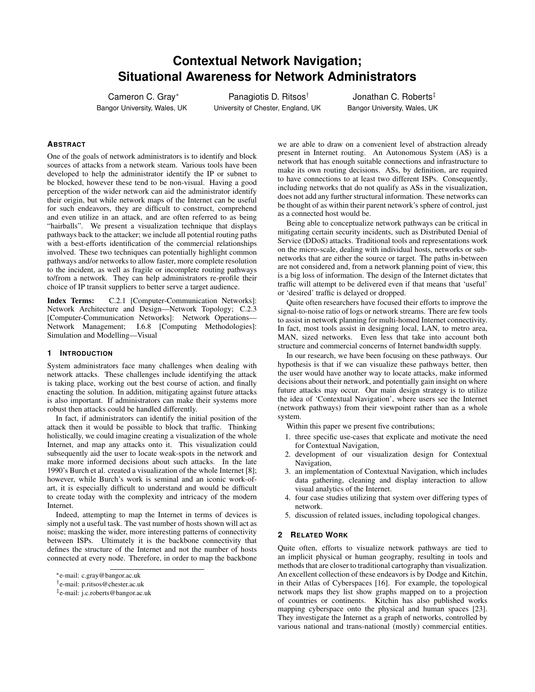# **Contextual Network Navigation; Situational Awareness for Network Administrators**

Cameron C. Gray<sup>∗</sup> Bangor University, Wales, UK

Panagiotis D. Ritsos† University of Chester, England, UK

Jonathan C. Roberts‡ Bangor University, Wales, UK

## **ABSTRACT**

One of the goals of network administrators is to identify and block sources of attacks from a network steam. Various tools have been developed to help the administrator identify the IP or subnet to be blocked, however these tend to be non-visual. Having a good perception of the wider network can aid the administrator identify their origin, but while network maps of the Internet can be useful for such endeavors, they are difficult to construct, comprehend and even utilize in an attack, and are often referred to as being "hairballs". We present a visualization technique that displays pathways back to the attacker; we include all potential routing paths with a best-efforts identification of the commercial relationships involved. These two techniques can potentially highlight common pathways and/or networks to allow faster, more complete resolution to the incident, as well as fragile or incomplete routing pathways to/from a network. They can help administrators re-profile their choice of IP transit suppliers to better serve a target audience.

Index Terms: C.2.1 [Computer-Communication Networks]: Network Architecture and Design—Network Topology; C.2.3 [Computer-Communication Networks]: Network Operations— Network Management; I.6.8 [Computing Methodologies]: Simulation and Modelling—Visual

#### **1 INTRODUCTION**

System administrators face many challenges when dealing with network attacks. These challenges include identifying the attack is taking place, working out the best course of action, and finally enacting the solution. In addition, mitigating against future attacks is also important. If administrators can make their systems more robust then attacks could be handled differently.

In fact, if administrators can identify the initial position of the attack then it would be possible to block that traffic. Thinking holistically, we could imagine creating a visualization of the whole Internet, and map any attacks onto it. This visualization could subsequently aid the user to locate weak-spots in the network and make more informed decisions about such attacks. In the late 1990's Burch et al. created a visualization of the whole Internet [8]; however, while Burch's work is seminal and an iconic work-ofart, it is especially difficult to understand and would be difficult to create today with the complexity and intricacy of the modern Internet.

Indeed, attempting to map the Internet in terms of devices is simply not a useful task. The vast number of hosts shown will act as noise; masking the wider, more interesting patterns of connectivity between ISPs. Ultimately it is the backbone connectivity that defines the structure of the Internet and not the number of hosts connected at every node. Therefore, in order to map the backbone

we are able to draw on a convenient level of abstraction already present in Internet routing. An Autonomous System (AS) is a network that has enough suitable connections and infrastructure to make its own routing decisions. ASs, by definition, are required to have connections to at least two different ISPs. Consequently, including networks that do not qualify as ASs in the visualization, does not add any further structural information. These networks can be thought of as within their parent network's sphere of control, just as a connected host would be.

Being able to conceptualize network pathways can be critical in mitigating certain security incidents, such as Distributed Denial of Service (DDoS) attacks. Traditional tools and representations work on the micro-scale, dealing with individual hosts, networks or subnetworks that are either the source or target. The paths in-between are not considered and, from a network planning point of view, this is a big loss of information. The design of the Internet dictates that traffic will attempt to be delivered even if that means that 'useful' or 'desired' traffic is delayed or dropped.

Quite often researchers have focused their efforts to improve the signal-to-noise ratio of logs or network streams. There are few tools to assist in network planning for multi-homed Internet connectivity. In fact, most tools assist in designing local, LAN, to metro area, MAN, sized networks. Even less that take into account both structure and commercial concerns of Internet bandwidth supply.

In our research, we have been focusing on these pathways. Our hypothesis is that if we can visualize these pathways better, then the user would have another way to locate attacks, make informed decisions about their network, and potentially gain insight on where future attacks may occur. Our main design strategy is to utilize the idea of 'Contextual Navigation', where users see the Internet (network pathways) from their viewpoint rather than as a whole system.

Within this paper we present five contributions;

- 1. three specific use-cases that explicate and motivate the need for Contextual Navigation,
- 2. development of our visualization design for Contextual Navigation,
- 3. an implementation of Contextual Navigation, which includes data gathering, cleaning and display interaction to allow visual analytics of the Internet.
- 4. four case studies utilizing that system over differing types of network.
- 5. discussion of related issues, including topological changes.

#### **2 RELATED WORK**

Quite often, efforts to visualize network pathways are tied to an implicit physical or human geography, resulting in tools and methods that are closer to traditional cartography than visualization. An excellent collection of these endeavors is by Dodge and Kitchin, in their Atlas of Cyberspaces [16]. For example, the topological network maps they list show graphs mapped on to a projection of countries or continents. Kitchin has also published works mapping cyberspace onto the physical and human spaces [23]. They investigate the Internet as a graph of networks, controlled by various national and trans-national (mostly) commercial entities.

<sup>∗</sup> e-mail: c.gray@bangor.ac.uk

<sup>†</sup> e-mail: p.ritsos@chester.ac.uk

<sup>‡</sup> e-mail: j.c.roberts@bangor.ac.uk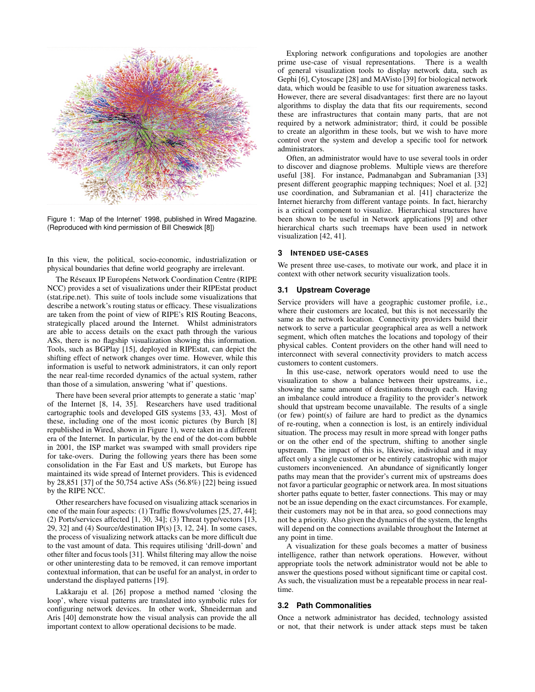

Figure 1: 'Map of the Internet' 1998, published in Wired Magazine. (Reproduced with kind permission of Bill Cheswick [8])

In this view, the political, socio-economic, industrialization or physical boundaries that define world geography are irrelevant.

The Réseaux IP Européens Network Coordination Centre (RIPE NCC) provides a set of visualizations under their RIPEstat product (stat.ripe.net). This suite of tools include some visualizations that describe a network's routing status or efficacy. These visualizations are taken from the point of view of RIPE's RIS Routing Beacons, strategically placed around the Internet. Whilst administrators are able to access details on the exact path through the various ASs, there is no flagship visualization showing this information. Tools, such as BGPlay [15], deployed in RIPEstat, can depict the shifting effect of network changes over time. However, while this information is useful to network administrators, it can only report the near real-time recorded dynamics of the actual system, rather than those of a simulation, answering 'what if' questions.

There have been several prior attempts to generate a static 'map' of the Internet [8, 14, 35]. Researchers have used traditional cartographic tools and developed GIS systems [33, 43]. Most of these, including one of the most iconic pictures (by Burch [8] republished in Wired, shown in Figure 1), were taken in a different era of the Internet. In particular, by the end of the dot-com bubble in 2001, the ISP market was swamped with small providers ripe for take-overs. During the following years there has been some consolidation in the Far East and US markets, but Europe has maintained its wide spread of Internet providers. This is evidenced by 28,851 [37] of the 50,754 active ASs (56.8%) [22] being issued by the RIPE NCC.

Other researchers have focused on visualizing attack scenarios in one of the main four aspects: (1) Traffic flows/volumes [25, 27, 44]; (2) Ports/services affected [1, 30, 34]; (3) Threat type/vectors [13, 29, 32] and (4) Source/destination IP(s)  $[3, 12, 24]$ . In some cases, the process of visualizing network attacks can be more difficult due to the vast amount of data. This requires utilising 'drill-down' and other filter and focus tools [31]. Whilst filtering may allow the noise or other uninteresting data to be removed, it can remove important contextual information, that can be useful for an analyst, in order to understand the displayed patterns [19].

Lakkaraju et al. [26] propose a method named 'closing the loop', where visual patterns are translated into symbolic rules for configuring network devices. In other work, Shneiderman and Aris [40] demonstrate how the visual analysis can provide the all important context to allow operational decisions to be made.

Exploring network configurations and topologies are another prime use-case of visual representations. There is a wealth of general visualization tools to display network data, such as Gephi [6], Cytoscape [28] and MAVisto [39] for biological network data, which would be feasible to use for situation awareness tasks. However, there are several disadvantages: first there are no layout algorithms to display the data that fits our requirements, second these are infrastructures that contain many parts, that are not required by a network administrator; third, it could be possible to create an algorithm in these tools, but we wish to have more control over the system and develop a specific tool for network administrators.

Often, an administrator would have to use several tools in order to discover and diagnose problems. Multiple views are therefore useful [38]. For instance, Padmanabgan and Subramanian [33] present different geographic mapping techniques; Noel et al. [32] use coordination, and Subramanian et al. [41] characterize the Internet hierarchy from different vantage points. In fact, hierarchy is a critical component to visualize. Hierarchical structures have been shown to be useful in Network applications [9] and other hierarchical charts such treemaps have been used in network visualization [42, 41].

#### **3 INTENDED USE-CASES**

We present three use-cases, to motivate our work, and place it in context with other network security visualization tools.

#### **3.1 Upstream Coverage**

Service providers will have a geographic customer profile, i.e., where their customers are located, but this is not necessarily the same as the network location. Connectivity providers build their network to serve a particular geographical area as well a network segment, which often matches the locations and topology of their physical cables. Content providers on the other hand will need to interconnect with several connectivity providers to match access customers to content customers.

In this use-case, network operators would need to use the visualization to show a balance between their upstreams, i.e., showing the same amount of destinations through each. Having an imbalance could introduce a fragility to the provider's network should that upstream become unavailable. The results of a single (or few) point(s) of failure are hard to predict as the dynamics of re-routing, when a connection is lost, is an entirely individual situation. The process may result in more spread with longer paths or on the other end of the spectrum, shifting to another single upstream. The impact of this is, likewise, individual and it may affect only a single customer or be entirely catastrophic with major customers inconvenienced. An abundance of significantly longer paths may mean that the provider's current mix of upstreams does not favor a particular geographic or network area. In most situations shorter paths equate to better, faster connections. This may or may not be an issue depending on the exact circumstances. For example, their customers may not be in that area, so good connections may not be a priority. Also given the dynamics of the system, the lengths will depend on the connections available throughout the Internet at any point in time.

A visualization for these goals becomes a matter of business intelligence, rather than network operations. However, without appropriate tools the network administrator would not be able to answer the questions posed without significant time or capital cost. As such, the visualization must be a repeatable process in near realtime.

#### **3.2 Path Commonalities**

Once a network administrator has decided, technology assisted or not, that their network is under attack steps must be taken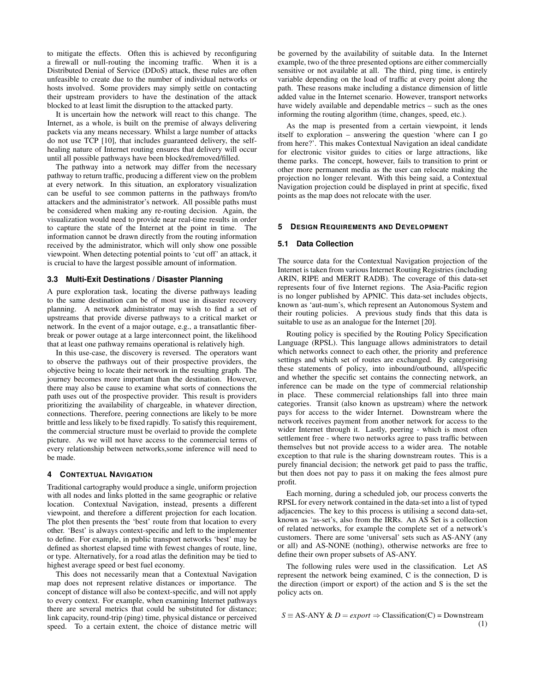to mitigate the effects. Often this is achieved by reconfiguring a firewall or null-routing the incoming traffic. When it is a Distributed Denial of Service (DDoS) attack, these rules are often unfeasible to create due to the number of individual networks or hosts involved. Some providers may simply settle on contacting their upstream providers to have the destination of the attack blocked to at least limit the disruption to the attacked party.

It is uncertain how the network will react to this change. The Internet, as a whole, is built on the premise of always delivering packets via any means necessary. Whilst a large number of attacks do not use TCP [10], that includes guaranteed delivery, the selfhealing nature of Internet routing ensures that delivery will occur until all possible pathways have been blocked/removed/filled.

The pathway into a network may differ from the necessary pathway to return traffic, producing a different view on the problem at every network. In this situation, an exploratory visualization can be useful to see common patterns in the pathways from/to attackers and the administrator's network. All possible paths must be considered when making any re-routing decision. Again, the visualization would need to provide near real-time results in order to capture the state of the Internet at the point in time. The information cannot be drawn directly from the routing information received by the administrator, which will only show one possible viewpoint. When detecting potential points to 'cut off' an attack, it is crucial to have the largest possible amount of information.

## **3.3 Multi-Exit Destinations / Disaster Planning**

A pure exploration task, locating the diverse pathways leading to the same destination can be of most use in disaster recovery planning. A network administrator may wish to find a set of upstreams that provide diverse pathways to a critical market or network. In the event of a major outage, e.g., a transatlantic fiberbreak or power outage at a large interconnect point, the likelihood that at least one pathway remains operational is relatively high.

In this use-case, the discovery is reversed. The operators want to observe the pathways out of their prospective providers, the objective being to locate their network in the resulting graph. The journey becomes more important than the destination. However, there may also be cause to examine what sorts of connections the path uses out of the prospective provider. This result is providers prioritizing the availability of chargeable, in whatever direction, connections. Therefore, peering connections are likely to be more brittle and less likely to be fixed rapidly. To satisfy this requirement, the commercial structure must be overlaid to provide the complete picture. As we will not have access to the commercial terms of every relationship between networks,some inference will need to be made.

## **4 CONTEXTUAL NAVIGATION**

Traditional cartography would produce a single, uniform projection with all nodes and links plotted in the same geographic or relative location. Contextual Navigation, instead, presents a different viewpoint, and therefore a different projection for each location. The plot then presents the 'best' route from that location to every other. 'Best' is always context-specific and left to the implementer to define. For example, in public transport networks 'best' may be defined as shortest elapsed time with fewest changes of route, line, or type. Alternatively, for a road atlas the definition may be tied to highest average speed or best fuel economy.

This does not necessarily mean that a Contextual Navigation map does not represent relative distances or importance. The concept of distance will also be context-specific, and will not apply to every context. For example, when examining Internet pathways there are several metrics that could be substituted for distance; link capacity, round-trip (ping) time, physical distance or perceived speed. To a certain extent, the choice of distance metric will

be governed by the availability of suitable data. In the Internet example, two of the three presented options are either commercially sensitive or not available at all. The third, ping time, is entirely variable depending on the load of traffic at every point along the path. These reasons make including a distance dimension of little added value in the Internet scenario. However, transport networks have widely available and dependable metrics – such as the ones informing the routing algorithm (time, changes, speed, etc.).

As the map is presented from a certain viewpoint, it lends itself to exploration – answering the question 'where can I go from here?'. This makes Contextual Navigation an ideal candidate for electronic visitor guides to cities or large attractions, like theme parks. The concept, however, fails to transition to print or other more permanent media as the user can relocate making the projection no longer relevant. With this being said, a Contextual Navigation projection could be displayed in print at specific, fixed points as the map does not relocate with the user.

## **5 DESIGN REQUIREMENTS AND DEVELOPMENT**

#### **5.1 Data Collection**

The source data for the Contextual Navigation projection of the Internet is taken from various Internet Routing Registries (including ARIN, RIPE and MERIT RADB). The coverage of this data-set represents four of five Internet regions. The Asia-Pacific region is no longer published by APNIC. This data-set includes objects, known as 'aut-num's, which represent an Autonomous System and their routing policies. A previous study finds that this data is suitable to use as an analogue for the Internet [20].

Routing policy is specified by the Routing Policy Specification Language (RPSL). This language allows administrators to detail which networks connect to each other, the priority and preference settings and which set of routes are exchanged. By categorising these statements of policy, into inbound/outbound, all/specific and whether the specific set contains the connecting network, an inference can be made on the type of commercial relationship in place. These commercial relationships fall into three main categories. Transit (also known as upstream) where the network pays for access to the wider Internet. Downstream where the network receives payment from another network for access to the wider Internet through it. Lastly, peering - which is most often settlement free - where two networks agree to pass traffic between themselves but not provide access to a wider area. The notable exception to that rule is the sharing downstream routes. This is a purely financial decision; the network get paid to pass the traffic, but then does not pay to pass it on making the fees almost pure profit.

Each morning, during a scheduled job, our process converts the RPSL for every network contained in the data-set into a list of typed adjacencies. The key to this process is utilising a second data-set, known as 'as-set's, also from the IRRs. An AS Set is a collection of related networks, for example the complete set of a network's customers. There are some 'universal' sets such as AS-ANY (any or all) and AS-NONE (nothing), otherwise networks are free to define their own proper subsets of AS-ANY.

The following rules were used in the classification. Let AS represent the network being examined, C is the connection, D is the direction (import or export) of the action and S is the set the policy acts on.

$$
S \equiv AS-ANY \& D = export \Rightarrow Classification(C) = Downstream
$$
\n(1)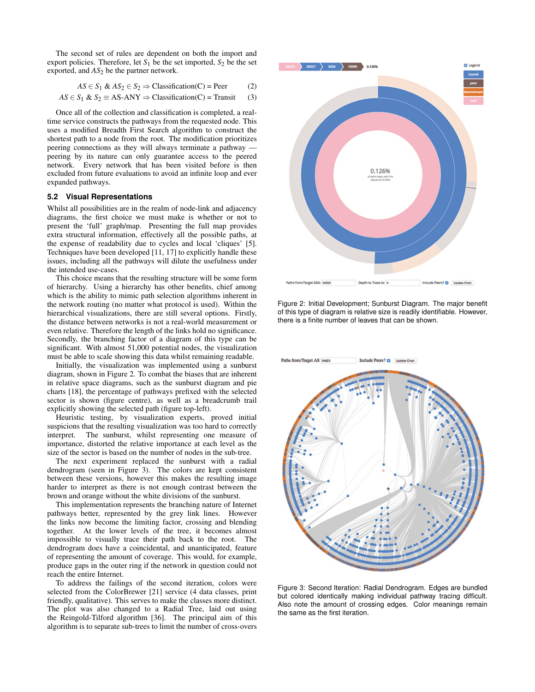The second set of rules are dependent on both the import and export policies. Therefore, let  $S_1$  be the set imported,  $S_2$  be the set exported, and  $AS_2$  be the partner network.

$$
AS \in S_1 \& AS_2 \in S_2 \Rightarrow Classification(C) = Peer
$$
 (2)

$$
AS \in S_1 \& S_2 \equiv AS-ANY \Rightarrow Classification(C) = Transit \qquad (3)
$$

Once all of the collection and classification is completed, a realtime service constructs the pathways from the requested node. This uses a modified Breadth First Search algorithm to construct the shortest path to a node from the root. The modification prioritizes peering connections as they will always terminate a pathway peering by its nature can only guarantee access to the peered network. Every network that has been visited before is then excluded from future evaluations to avoid an infinite loop and ever expanded pathways.

## **5.2 Visual Representations**

Whilst all possibilities are in the realm of node-link and adjacency diagrams, the first choice we must make is whether or not to present the 'full' graph/map. Presenting the full map provides extra structural information, effectively all the possible paths, at the expense of readability due to cycles and local 'cliques' [5]. Techniques have been developed [11, 17] to explicitly handle these issues, including all the pathways will dilute the usefulness under the intended use-cases.

This choice means that the resulting structure will be some form of hierarchy. Using a hierarchy has other benefits, chief among which is the ability to mimic path selection algorithms inherent in the network routing (no matter what protocol is used). Within the hierarchical visualizations, there are still several options. Firstly, the distance between networks is not a real-world measurement or even relative. Therefore the length of the links hold no significance. Secondly, the branching factor of a diagram of this type can be significant. With almost 51,000 potential nodes, the visualization must be able to scale showing this data whilst remaining readable.

Initially, the visualization was implemented using a sunburst diagram, shown in Figure 2. To combat the biases that are inherent in relative space diagrams, such as the sunburst diagram and pie charts [18], the percentage of pathways prefixed with the selected sector is shown (figure centre), as well as a breadcrumb trail explicitly showing the selected path (figure top-left).

Heuristic testing, by visualization experts, proved initial suspicions that the resulting visualization was too hard to correctly interpret. The sunburst, whilst representing one measure of importance, distorted the relative importance at each level as the size of the sector is based on the number of nodes in the sub-tree.

The next experiment replaced the sunburst with a radial dendrogram (seen in Figure 3). The colors are kept consistent between these versions, however this makes the resulting image harder to interpret as there is not enough contrast between the brown and orange without the white divisions of the sunburst.

This implementation represents the branching nature of Internet pathways better, represented by the grey link lines. However the links now become the limiting factor, crossing and blending together. At the lower levels of the tree, it becomes almost impossible to visually trace their path back to the root. The dendrogram does have a coincidental, and unanticipated, feature of representing the amount of coverage. This would, for example, produce gaps in the outer ring if the network in question could not reach the entire Internet.

To address the failings of the second iteration, colors were selected from the ColorBrewer [21] service (4 data classes, print friendly, qualitative). This serves to make the classes more distinct. The plot was also changed to a Radial Tree, laid out using the Reingold-Tilford algorithm [36]. The principal aim of this algorithm is to separate sub-trees to limit the number of cross-overs



Figure 2: Initial Development; Sunburst Diagram. The major benefit of this type of diagram is relative size is readily identifiable. However, there is a finite number of leaves that can be shown.



Figure 3: Second Iteration: Radial Dendrogram. Edges are bundled but colored identically making individual pathway tracing difficult. Also note the amount of crossing edges. Color meanings remain the same as the first iteration.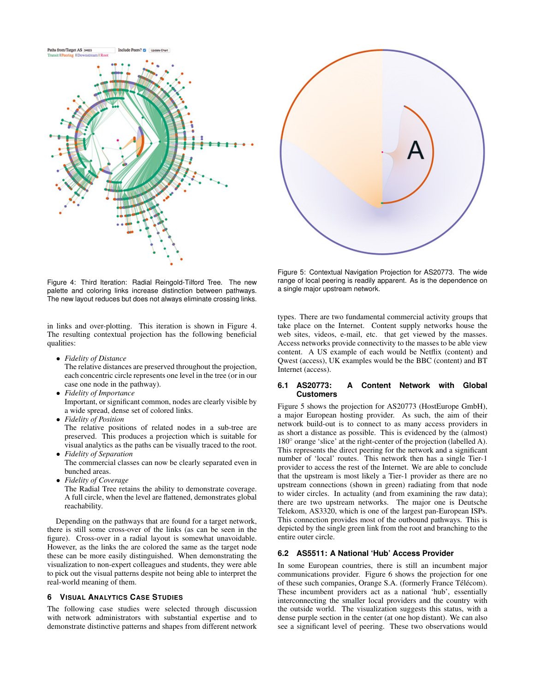Paths from/Target AS 34623 sit I Peering 1D



Figure 4: Third Iteration: Radial Reingold-Tilford Tree. The new palette and coloring links increase distinction between pathways. The new layout reduces but does not always eliminate crossing links.

in links and over-plotting. This iteration is shown in Figure 4. The resulting contextual projection has the following beneficial qualities:

• *Fidelity of Distance*

The relative distances are preserved throughout the projection, each concentric circle represents one level in the tree (or in our case one node in the pathway).

- *Fidelity of Importance* Important, or significant common, nodes are clearly visible by a wide spread, dense set of colored links.
- *Fidelity of Position* The relative positions of related nodes in a sub-tree are preserved. This produces a projection which is suitable for visual analytics as the paths can be visually traced to the root.
- *Fidelity of Separation* The commercial classes can now be clearly separated even in bunched areas.
- *Fidelity of Coverage* The Radial Tree retains the ability to demonstrate coverage. A full circle, when the level are flattened, demonstrates global reachability.

Depending on the pathways that are found for a target network, there is still some cross-over of the links (as can be seen in the figure). Cross-over in a radial layout is somewhat unavoidable. However, as the links the are colored the same as the target node these can be more easily distinguished. When demonstrating the visualization to non-expert colleagues and students, they were able to pick out the visual patterns despite not being able to interpret the real-world meaning of them.

## **6 VISUAL ANALYTICS CASE STUDIES**

The following case studies were selected through discussion with network administrators with substantial expertise and to demonstrate distinctive patterns and shapes from different network



Figure 5: Contextual Navigation Projection for AS20773. The wide range of local peering is readily apparent. As is the dependence on a single major upstream network.

types. There are two fundamental commercial activity groups that take place on the Internet. Content supply networks house the web sites, videos, e-mail, etc. that get viewed by the masses. Access networks provide connectivity to the masses to be able view content. A US example of each would be Netflix (content) and Qwest (access), UK examples would be the BBC (content) and BT Internet (access).

#### **6.1 AS20773: A Content Network with Global Customers**

Figure 5 shows the projection for AS20773 (HostEurope GmbH), a major European hosting provider. As such, the aim of their network build-out is to connect to as many access providers in as short a distance as possible. This is evidenced by the (almost) 180◦ orange 'slice' at the right-center of the projection (labelled A). This represents the direct peering for the network and a significant number of 'local' routes. This network then has a single Tier-1 provider to access the rest of the Internet. We are able to conclude that the upstream is most likely a Tier-1 provider as there are no upstream connections (shown in green) radiating from that node to wider circles. In actuality (and from examining the raw data); there are two upstream networks. The major one is Deutsche Telekom, AS3320, which is one of the largest pan-European ISPs. This connection provides most of the outbound pathways. This is depicted by the single green link from the root and branching to the entire outer circle.

## **6.2 AS5511: A National 'Hub' Access Provider**

In some European countries, there is still an incumbent major communications provider. Figure 6 shows the projection for one of these such companies, Orange S.A. (formerly France Télécom). These incumbent providers act as a national 'hub', essentially interconnecting the smaller local providers and the country with the outside world. The visualization suggests this status, with a dense purple section in the center (at one hop distant). We can also see a significant level of peering. These two observations would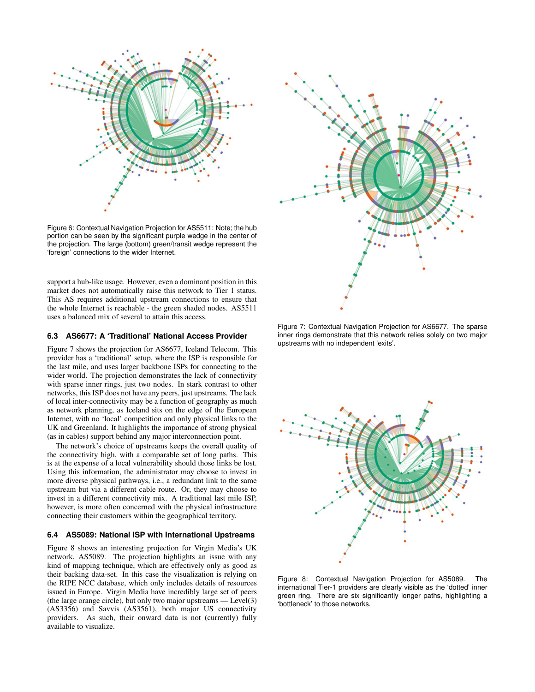

Figure 6: Contextual Navigation Projection for AS5511: Note; the hub portion can be seen by the significant purple wedge in the center of the projection. The large (bottom) green/transit wedge represent the 'foreign' connections to the wider Internet.

support a hub-like usage. However, even a dominant position in this market does not automatically raise this network to Tier 1 status. This AS requires additional upstream connections to ensure that the whole Internet is reachable - the green shaded nodes. AS5511 uses a balanced mix of several to attain this access.

#### **6.3 AS6677: A 'Traditional' National Access Provider**

Figure 7 shows the projection for AS6677, Iceland Telecom. This provider has a 'traditional' setup, where the ISP is responsible for the last mile, and uses larger backbone ISPs for connecting to the wider world. The projection demonstrates the lack of connectivity with sparse inner rings, just two nodes. In stark contrast to other networks, this ISP does not have any peers, just upstreams. The lack of local inter-connectivity may be a function of geography as much as network planning, as Iceland sits on the edge of the European Internet, with no 'local' competition and only physical links to the UK and Greenland. It highlights the importance of strong physical (as in cables) support behind any major interconnection point.

The network's choice of upstreams keeps the overall quality of the connectivity high, with a comparable set of long paths. This is at the expense of a local vulnerability should those links be lost. Using this information, the administrator may choose to invest in more diverse physical pathways, i.e., a redundant link to the same upstream but via a different cable route. Or, they may choose to invest in a different connectivity mix. A traditional last mile ISP, however, is more often concerned with the physical infrastructure connecting their customers within the geographical territory.

## **6.4 AS5089: National ISP with International Upstreams**

Figure 8 shows an interesting projection for Virgin Media's UK network, AS5089. The projection highlights an issue with any kind of mapping technique, which are effectively only as good as their backing data-set. In this case the visualization is relying on the RIPE NCC database, which only includes details of resources issued in Europe. Virgin Media have incredibly large set of peers (the large orange circle), but only two major upstreams — Level(3) (AS3356) and Savvis (AS3561), both major US connectivity providers. As such, their onward data is not (currently) fully available to visualize.



Figure 7: Contextual Navigation Projection for AS6677. The sparse inner rings demonstrate that this network relies solely on two major upstreams with no independent 'exits'.



Figure 8: Contextual Navigation Projection for AS5089. The international Tier-1 providers are clearly visible as the 'dotted' inner green ring. There are six significantly longer paths, highlighting a 'bottleneck' to those networks.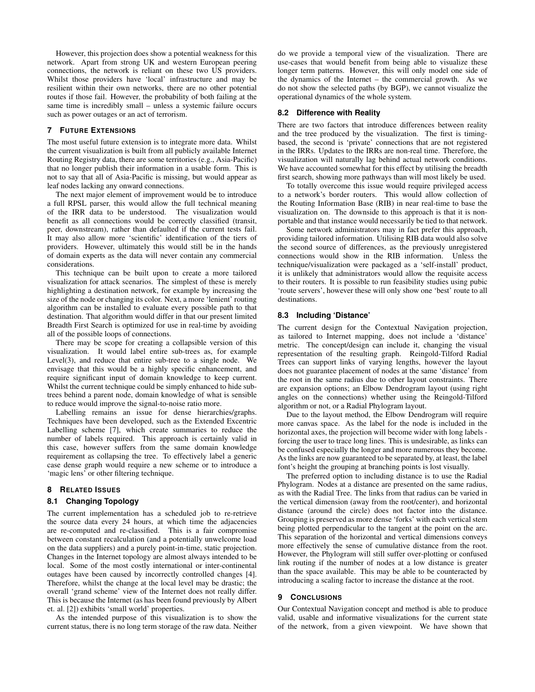However, this projection does show a potential weakness for this network. Apart from strong UK and western European peering connections, the network is reliant on these two US providers. Whilst those providers have 'local' infrastructure and may be resilient within their own networks, there are no other potential routes if those fail. However, the probability of both failing at the same time is incredibly small – unless a systemic failure occurs such as power outages or an act of terrorism.

## **7 FUTURE EXTENSIONS**

The most useful future extension is to integrate more data. Whilst the current visualization is built from all publicly available Internet Routing Registry data, there are some territories (e.g., Asia-Pacific) that no longer publish their information in a usable form. This is not to say that all of Asia-Pacific is missing, but would appear as leaf nodes lacking any onward connections.

The next major element of improvement would be to introduce a full RPSL parser, this would allow the full technical meaning of the IRR data to be understood. The visualization would benefit as all connections would be correctly classified (transit, peer, downstream), rather than defaulted if the current tests fail. It may also allow more 'scientific' identification of the tiers of providers. However, ultimately this would still be in the hands of domain experts as the data will never contain any commercial considerations.

This technique can be built upon to create a more tailored visualization for attack scenarios. The simplest of these is merely highlighting a destination network, for example by increasing the size of the node or changing its color. Next, a more 'lenient' routing algorithm can be installed to evaluate every possible path to that destination. That algorithm would differ in that our present limited Breadth First Search is optimized for use in real-time by avoiding all of the possible loops of connections.

There may be scope for creating a collapsible version of this visualization. It would label entire sub-trees as, for example Level $(3)$ , and reduce that entire sub-tree to a single node. We envisage that this would be a highly specific enhancement, and require significant input of domain knowledge to keep current. Whilst the current technique could be simply enhanced to hide subtrees behind a parent node, domain knowledge of what is sensible to reduce would improve the signal-to-noise ratio more.

Labelling remains an issue for dense hierarchies/graphs. Techniques have been developed, such as the Extended Excentric Labelling scheme [7], which create summaries to reduce the number of labels required. This approach is certainly valid in this case, however suffers from the same domain knowledge requirement as collapsing the tree. To effectively label a generic case dense graph would require a new scheme or to introduce a 'magic lens' or other filtering technique.

## **8 RELATED ISSUES**

#### **8.1 Changing Topology**

The current implementation has a scheduled job to re-retrieve the source data every 24 hours, at which time the adjacencies are re-computed and re-classified. This is a fair compromise between constant recalculation (and a potentially unwelcome load on the data suppliers) and a purely point-in-time, static projection. Changes in the Internet topology are almost always intended to be local. Some of the most costly international or inter-continental outages have been caused by incorrectly controlled changes [4]. Therefore, whilst the change at the local level may be drastic; the overall 'grand scheme' view of the Internet does not really differ. This is because the Internet (as has been found previously by Albert et. al. [2]) exhibits 'small world' properties.

As the intended purpose of this visualization is to show the current status, there is no long term storage of the raw data. Neither do we provide a temporal view of the visualization. There are use-cases that would benefit from being able to visualize these longer term patterns. However, this will only model one side of the dynamics of the Internet – the commercial growth. As we do not show the selected paths (by BGP), we cannot visualize the operational dynamics of the whole system.

#### **8.2 Difference with Reality**

There are two factors that introduce differences between reality and the tree produced by the visualization. The first is timingbased, the second is 'private' connections that are not registered in the IRRs. Updates to the IRRs are non-real time. Therefore, the visualization will naturally lag behind actual network conditions. We have accounted somewhat for this effect by utilising the breadth first search, showing more pathways than will most likely be used.

To totally overcome this issue would require privileged access to a network's border routers. This would allow collection of the Routing Information Base (RIB) in near real-time to base the visualization on. The downside to this approach is that it is nonportable and that instance would necessarily be tied to that network.

Some network administrators may in fact prefer this approach, providing tailored information. Utilising RIB data would also solve the second source of differences, as the previously unregistered connections would show in the RIB information. Unless the technique/visualization were packaged as a 'self-install' product, it is unlikely that administrators would allow the requisite access to their routers. It is possible to run feasibility studies using pubic 'route servers', however these will only show one 'best' route to all destinations.

#### **8.3 Including 'Distance'**

The current design for the Contextual Navigation projection, as tailored to Internet mapping, does not include a 'distance' metric. The concept/design can include it, changing the visual representation of the resulting graph. Reingold-Tilford Radial Trees can support links of varying lengths, however the layout does not guarantee placement of nodes at the same 'distance' from the root in the same radius due to other layout constraints. There are expansion options; an Elbow Dendrogram layout (using right angles on the connections) whether using the Reingold-Tilford algorithm or not, or a Radial Phylogram layout.

Due to the layout method, the Elbow Dendrogram will require more canvas space. As the label for the node is included in the horizontal axes, the projection will become wider with long labels forcing the user to trace long lines. This is undesirable, as links can be confused especially the longer and more numerous they become. As the links are now guaranteed to be separated by, at least, the label font's height the grouping at branching points is lost visually.

The preferred option to including distance is to use the Radial Phylogram. Nodes at a distance are presented on the same radius, as with the Radial Tree. The links from that radius can be varied in the vertical dimension (away from the root/center), and horizontal distance (around the circle) does not factor into the distance. Grouping is preserved as more dense 'forks' with each vertical stem being plotted perpendicular to the tangent at the point on the arc. This separation of the horizontal and vertical dimensions conveys more effectively the sense of cumulative distance from the root. However, the Phylogram will still suffer over-plotting or confused link routing if the number of nodes at a low distance is greater than the space available. This may be able to be counteracted by introducing a scaling factor to increase the distance at the root.

#### **9 CONCLUSIONS**

Our Contextual Navigation concept and method is able to produce valid, usable and informative visualizations for the current state of the network, from a given viewpoint. We have shown that